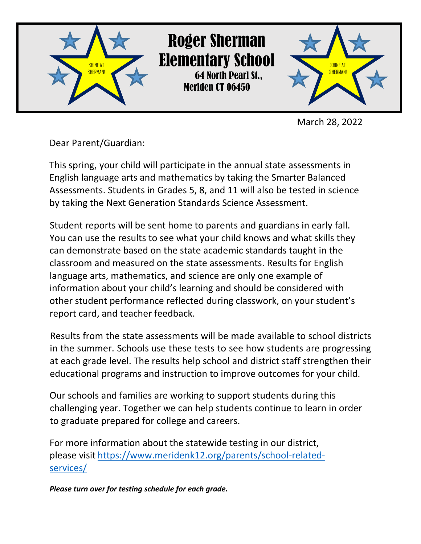

March 28, 2022

Dear Parent/Guardian:

This spring, your child will participate in the annual state assessments in English language arts and mathematics by taking the Smarter Balanced Assessments. Students in Grades 5, 8, and 11 will also be tested in science by taking the Next Generation Standards Science Assessment.

Student reports will be sent home to parents and guardians in early fall. You can use the results to see what your child knows and what skills they can demonstrate based on the state academic standards taught in the classroom and measured on the state assessments. Results for English language arts, mathematics, and science are only one example of information about your child's learning and should be considered with other student performance reflected during classwork, on your student's report card, and teacher feedback.

Results from the state assessments will be made available to school districts in the summer. Schools use these tests to see how students are progressing at each grade level. The results help school and district staff strengthen their educational programs and instruction to improve outcomes for your child.

Our schools and families are working to support students during this challenging year. Together we can help students continue to learn in order to graduate prepared for college and careers.

For more information about the statewide testing in our district, please visit [https://www.meridenk12.org/parents/school-related](https://www.meridenk12.org/parents/school-related-services/)[services/](https://www.meridenk12.org/parents/school-related-services/)

*Please turn over for testing schedule for each grade.*